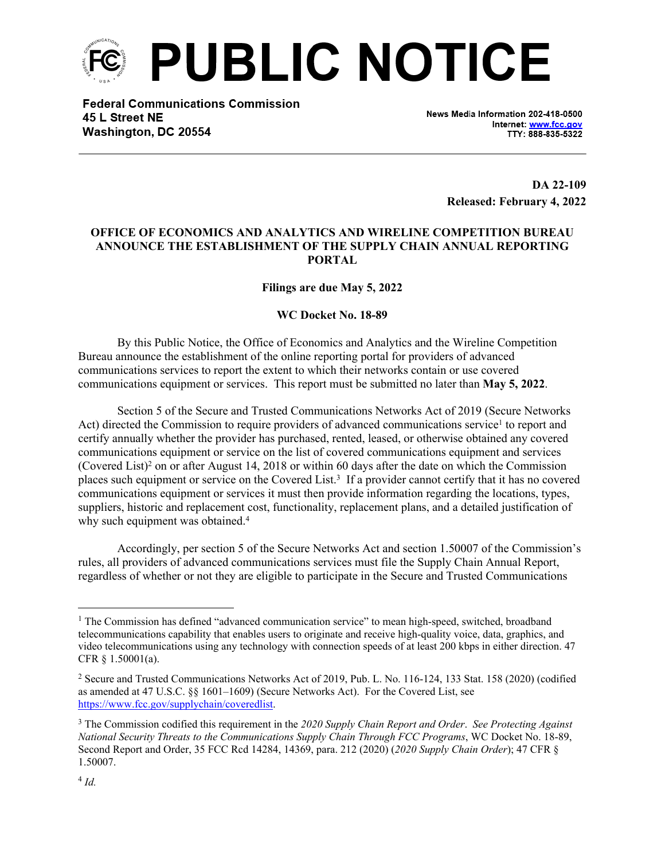

**Federal Communications Commission** 45 L Street NE Washington, DC 20554

News Media Information 202-418-0500 Internet: www.fcc.gov TTY: 888-835-5322

> **DA 22-109 Released: February 4, 2022**

## **OFFICE OF ECONOMICS AND ANALYTICS AND WIRELINE COMPETITION BUREAU ANNOUNCE THE ESTABLISHMENT OF THE SUPPLY CHAIN ANNUAL REPORTING PORTAL**

**Filings are due May 5, 2022**

## **WC Docket No. 18-89**

By this Public Notice, the Office of Economics and Analytics and the Wireline Competition Bureau announce the establishment of the online reporting portal for providers of advanced communications services to report the extent to which their networks contain or use covered communications equipment or services. This report must be submitted no later than **May 5, 2022**.

Section 5 of the Secure and Trusted Communications Networks Act of 2019 (Secure Networks Act) directed the Commission to require providers of advanced communications service<sup>1</sup> to report and certify annually whether the provider has purchased, rented, leased, or otherwise obtained any covered communications equipment or service on the list of covered communications equipment and services (Covered List)<sup>2</sup> on or after August 14, 2018 or within 60 days after the date on which the Commission places such equipment or service on the Covered List.<sup>3</sup> If a provider cannot certify that it has no covered communications equipment or services it must then provide information regarding the locations, types, suppliers, historic and replacement cost, functionality, replacement plans, and a detailed justification of why such equipment was obtained.<sup>4</sup>

Accordingly, per section 5 of the Secure Networks Act and section 1.50007 of the Commission's rules, all providers of advanced communications services must file the Supply Chain Annual Report, regardless of whether or not they are eligible to participate in the Secure and Trusted Communications

<sup>&</sup>lt;sup>1</sup> The Commission has defined "advanced communication service" to mean high-speed, switched, broadband telecommunications capability that enables users to originate and receive high-quality voice, data, graphics, and video telecommunications using any technology with connection speeds of at least 200 kbps in either direction. 47 CFR § 1.50001(a).

<sup>2</sup> Secure and Trusted Communications Networks Act of 2019, Pub. L. No. 116-124, 133 Stat. 158 (2020) (codified as amended at 47 U.S.C. §§ 1601–1609) (Secure Networks Act). For the Covered List, see <https://www.fcc.gov/supplychain/coveredlist>.

<sup>3</sup> The Commission codified this requirement in the *2020 Supply Chain Report and Order*. *See Protecting Against National Security Threats to the Communications Supply Chain Through FCC Programs*, WC Docket No. 18-89, Second Report and Order, 35 FCC Rcd 14284, 14369, para. 212 (2020) (*2020 Supply Chain Order*); 47 CFR § 1.50007.